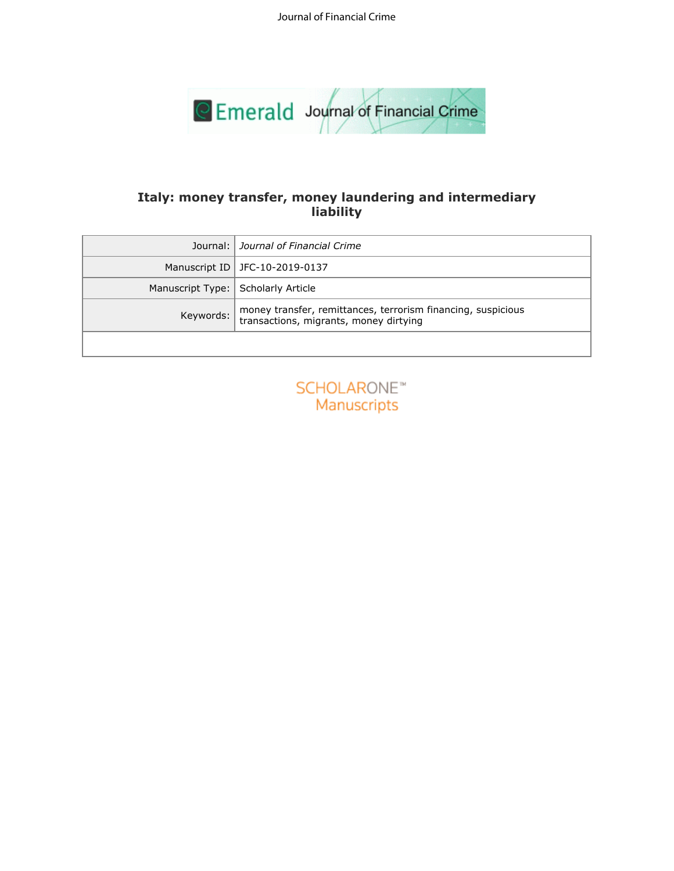Journal of Financial Crime



# **liability**

| Italy: money transfer, money laundering and intermediary<br>liability |                                                                                                        |
|-----------------------------------------------------------------------|--------------------------------------------------------------------------------------------------------|
| Journal:                                                              | Journal of Financial Crime                                                                             |
| Manuscript ID                                                         | JFC-10-2019-0137                                                                                       |
| Manuscript Type:                                                      | Scholarly Article                                                                                      |
| Keywords:                                                             | money transfer, remittances, terrorism financing, suspicious<br>transactions, migrants, money dirtying |
|                                                                       |                                                                                                        |
|                                                                       | SCHOLARONE <sup>®</sup><br>Manuscripts                                                                 |

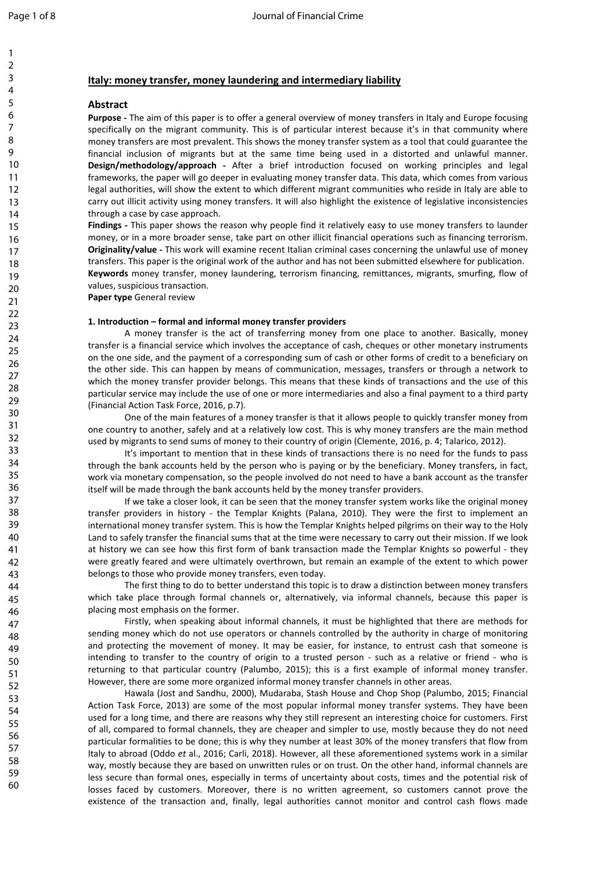1

60

# **Italy: money transfer, money laundering and intermediary liability**

# **Abstract**

**Purpose -** The aim of this paper is to offer a general overview of money transfers in Italy and Europe focusing specifically on the migrant community. This is of particular interest because it's in that community where money transfers are most prevalent. This shows the money transfer system as a tool that could guarantee the financial inclusion of migrants but at the same time being used in a distorted and unlawful manner. **Design/methodology/approach -** After a brief introduction focused on working principles and legal frameworks, the paper will go deeper in evaluating money transfer data. This data, which comes from various legal authorities, will show the extent to which different migrant communities who reside in Italy are able to carry out illicit activity using money transfers. It will also highlight the existence of legislative inconsistencies through a case by case approach.

**Findings -** This paper shows the reason why people find it relatively easy to use money transfers to launder money, or in a more broader sense, take part on other illicit financial operations such as financing terrorism. **Originality/value -** This work will examine recent Italian criminal cases concerning the unlawful use of money transfers. This paper is the original work of the author and has not been submitted elsewhere for publication. **Keywords** money transfer, money laundering, terrorism financing, remittances, migrants, smurfing, flow of values, suspicious transaction.

**Paper type** General review

# **1. Introduction – formal and informal money transfer providers**

erit activity using money transfers. It will also nighlight the existence of legislative risk pay case approach.<br>
Sis paper shows the reson why people find it relatively easy to use money transis paper shows the reson why A money transfer is the act of transferring money from one place to another. Basically, money transfer is a financial service which involves the acceptance of cash, cheques or other monetary instruments on the one side, and the payment of a corresponding sum of cash or other forms of credit to a beneficiary on the other side. This can happen by means of communication, messages, transfers or through a network to which the money transfer provider belongs. This means that these kinds of transactions and the use of this particular service may include the use of one or more intermediaries and also a final payment to a third party (Financial Action Task Force, 2016, p.7).

One of the main features of a money transfer is that it allows people to quickly transfer money from one country to another, safely and at a relatively low cost. This is why money transfers are the main method used by migrants to send sums of money to their country of origin (Clemente, 2016, p. 4; Talarico, 2012).

It's important to mention that in these kinds of transactions there is no need for the funds to pass through the bank accounts held by the person who is paying or by the beneficiary. Money transfers, in fact, work via monetary compensation, so the people involved do not need to have a bank account as the transfer itself will be made through the bank accounts held by the money transfer providers.

If we take a closer look, it can be seen that the money transfer system works like the original money transfer providers in history - the Templar Knights (Palana, 2010). They were the first to implement an international money transfer system. This is how the Templar Knights helped pilgrims on their way to the Holy Land to safely transfer the financial sums that at the time were necessary to carry out their mission. If we look at history we can see how this first form of bank transaction made the Templar Knights so powerful - they were greatly feared and were ultimately overthrown, but remain an example of the extent to which power belongs to those who provide money transfers, even today.

The first thing to do to better understand this topic is to draw a distinction between money transfers which take place through formal channels or, alternatively, via informal channels, because this paper is placing most emphasis on the former.

Firstly, when speaking about informal channels, it must be highlighted that there are methods for sending money which do not use operators or channels controlled by the authority in charge of monitoring and protecting the movement of money. It may be easier, for instance, to entrust cash that someone is intending to transfer to the country of origin to a trusted person - such as a relative or friend - who is returning to that particular country (Palumbo, 2015); this is a first example of informal money transfer. However, there are some more organized informal money transfer channels in other areas.

Hawala (Jost and Sandhu, 2000), Mudaraba, Stash House and Chop Shop (Palumbo, 2015; Financial Action Task Force, 2013) are some of the most popular informal money transfer systems. They have been used for a long time, and there are reasons why they still represent an interesting choice for customers. First of all, compared to formal channels, they are cheaper and simpler to use, mostly because they do not need particular formalities to be done; this is why they number at least 30% of the money transfers that flow from Italy to abroad (Oddo *et* al., 2016; Carli, 2018). However, all these aforementioned systems work in a similar way, mostly because they are based on unwritten rules or on trust. On the other hand, informal channels are less secure than formal ones, especially in terms of uncertainty about costs, times and the potential risk of losses faced by customers. Moreover, there is no written agreement, so customers cannot prove the existence of the transaction and, finally, legal authorities cannot monitor and control cash flows made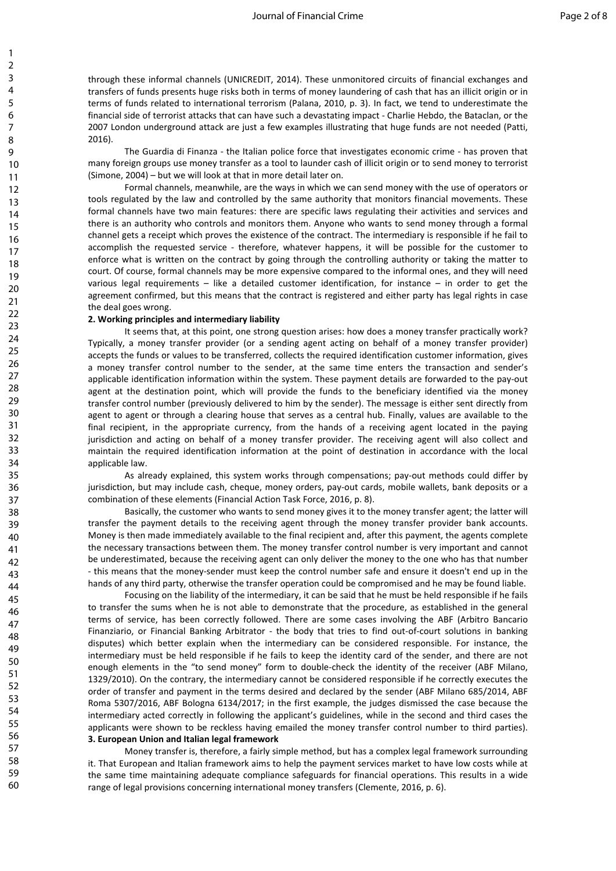through these informal channels (UNICREDIT, 2014). These unmonitored circuits of financial exchanges and transfers of funds presents huge risks both in terms of money laundering of cash that has an illicit origin or in terms of funds related to international terrorism (Palana, 2010, p. 3). In fact, we tend to underestimate the financial side of terrorist attacks that can have such a devastating impact - Charlie Hebdo, the Bataclan, or the 2007 London underground attack are just a few examples illustrating that huge funds are not needed (Patti, 2016).

The Guardia di Finanza - the Italian police force that investigates economic crime - has proven that many foreign groups use money transfer as a tool to launder cash of illicit origin or to send money to terrorist (Simone, 2004) – but we will look at that in more detail later on.

Formal channels, meanwhile, are the ways in which we can send money with the use of operators or tools regulated by the law and controlled by the same authority that monitors financial movements. These formal channels have two main features: there are specific laws regulating their activities and services and there is an authority who controls and monitors them. Anyone who wants to send money through a formal channel gets a receipt which proves the existence of the contract. The intermediary is responsible if he fail to accomplish the requested service - therefore, whatever happens, it will be possible for the customer to enforce what is written on the contract by going through the controlling authority or taking the matter to court. Of course, formal channels may be more expensive compared to the informal ones, and they will need various legal requirements – like a detailed customer identification, for instance – in order to get the agreement confirmed, but this means that the contract is registered and either party has legal rights in case the deal goes wrong.

#### **2. Working principles and intermediary liability**

earty the law and contoured by the same and mother of the moth of the moth of the moth of the same complete the predict propies are as a receipt which proves the existence of the contract. The intermediary is responsible f It seems that, at this point, one strong question arises: how does a money transfer practically work? Typically, a money transfer provider (or a sending agent acting on behalf of a money transfer provider) accepts the funds or values to be transferred, collects the required identification customer information, gives a money transfer control number to the sender, at the same time enters the transaction and sender's applicable identification information within the system. These payment details are forwarded to the pay-out agent at the destination point, which will provide the funds to the beneficiary identified via the money transfer control number (previously delivered to him by the sender). The message is either sent directly from agent to agent or through a clearing house that serves as a central hub. Finally, values are available to the final recipient, in the appropriate currency, from the hands of a receiving agent located in the paying jurisdiction and acting on behalf of a money transfer provider. The receiving agent will also collect and maintain the required identification information at the point of destination in accordance with the local applicable law.

As already explained, this system works through compensations; pay-out methods could differ by jurisdiction, but may include cash, cheque, money orders, pay-out cards, mobile wallets, bank deposits or a combination of these elements (Financial Action Task Force, 2016, p. 8).

Basically, the customer who wants to send money gives it to the money transfer agent; the latter will transfer the payment details to the receiving agent through the money transfer provider bank accounts. Money is then made immediately available to the final recipient and, after this payment, the agents complete the necessary transactions between them. The money transfer control number is very important and cannot be underestimated, because the receiving agent can only deliver the money to the one who has that number - this means that the money-sender must keep the control number safe and ensure it doesn't end up in the hands of any third party, otherwise the transfer operation could be compromised and he may be found liable.

Focusing on the liability of the intermediary, it can be said that he must be held responsible if he fails to transfer the sums when he is not able to demonstrate that the procedure, as established in the general terms of service, has been correctly followed. There are some cases involving the ABF (Arbitro Bancario Finanziario, or Financial Banking Arbitrator - the body that tries to find out-of-court solutions in banking disputes) which better explain when the intermediary can be considered responsible. For instance, the intermediary must be held responsible if he fails to keep the identity card of the sender, and there are not enough elements in the "to send money" form to double-check the identity of the receiver (ABF Milano, 1329/2010). On the contrary, the intermediary cannot be considered responsible if he correctly executes the order of transfer and payment in the terms desired and declared by the sender (ABF Milano 685/2014, ABF Roma 5307/2016, ABF Bologna 6134/2017; in the first example, the judges dismissed the case because the intermediary acted correctly in following the applicant's guidelines, while in the second and third cases the applicants were shown to be reckless having emailed the money transfer control number to third parties). **3. European Union and Italian legal framework**

Money transfer is, therefore, a fairly simple method, but has a complex legal framework surrounding it. That European and Italian framework aims to help the payment services market to have low costs while at the same time maintaining adequate compliance safeguards for financial operations. This results in a wide range of legal provisions concerning international money transfers (Clemente, 2016, p. 6).

1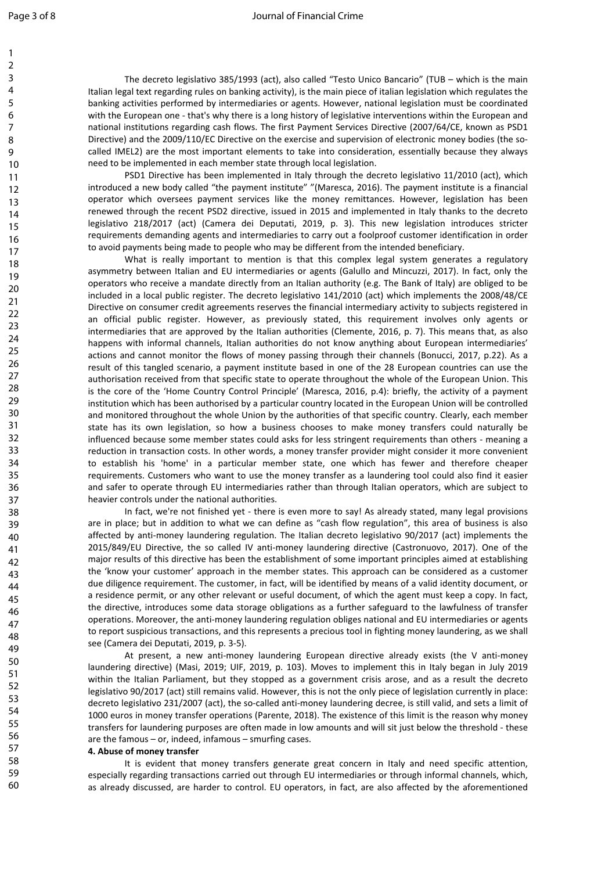1

## Page 3 of 8 **Page 3 of 8** Journal of Financial Crime

The decreto legislativo 385/1993 (act), also called "Testo Unico Bancario" (TUB – which is the main Italian legal text regarding rules on banking activity), is the main piece of italian legislation which regulates the banking activities performed by intermediaries or agents. However, national legislation must be coordinated with the European one - that's why there is a long history of legislative interventions within the European and national institutions regarding cash flows. The first Payment Services Directive (2007/64/CE, known as PSD1 Directive) and the 2009/110/EC Directive on the exercise and supervision of electronic money bodies (the socalled IMEL2) are the most important elements to take into consideration, essentially because they always need to be implemented in each member state through local legislation.

PSD1 Directive has been implemented in Italy through the decreto legislativo 11/2010 (act), which introduced a new body called "the payment institute" "(Maresca, 2016). The payment institute is a financial operator which oversees payment services like the money remittances. However, legislation has been renewed through the recent PSD2 directive, issued in 2015 and implemented in Italy thanks to the decreto legislativo 218/2017 (act) (Camera dei Deputati, 2019, p. 3). This new legislation introduces stricter requirements demanding agents and intermediaries to carry out a foolproof customer identification in order to avoid payments being made to people who may be different from the intended beneficiary.

not the vestes payine sends to meant the monder ventual cast. Towevel, regular the search in the recent FSD2 directive, issued in 2015 and implemented in Italy thanks is demanding agents and thermediaries to carry out a fo What is really important to mention is that this complex legal system generates a regulatory asymmetry between Italian and EU intermediaries or agents (Galullo and Mincuzzi, 2017). In fact, only the operators who receive a mandate directly from an Italian authority (e.g. The Bank of Italy) are obliged to be included in a local public register. The decreto legislativo 141/2010 (act) which implements the 2008/48/CE Directive on consumer credit agreements reserves the financial intermediary activity to subjects registered in an official public register. However, as previously stated, this requirement involves only agents or intermediaries that are approved by the Italian authorities (Clemente, 2016, p. 7). This means that, as also happens with informal channels, Italian authorities do not know anything about European intermediaries' actions and cannot monitor the flows of money passing through their channels (Bonucci, 2017, p.22). As a result of this tangled scenario, a payment institute based in one of the 28 European countries can use the authorisation received from that specific state to operate throughout the whole of the European Union. This is the core of the 'Home Country Control Principle' (Maresca, 2016, p.4): briefly, the activity of a payment institution which has been authorised by a particular country located in the European Union will be controlled and monitored throughout the whole Union by the authorities of that specific country. Clearly, each member state has its own legislation, so how a business chooses to make money transfers could naturally be influenced because some member states could asks for less stringent requirements than others - meaning a reduction in transaction costs. In other words, a money transfer provider might consider it more convenient to establish his 'home' in a particular member state, one which has fewer and therefore cheaper requirements. Customers who want to use the money transfer as a laundering tool could also find it easier and safer to operate through EU intermediaries rather than through Italian operators, which are subject to heavier controls under the national authorities.

In fact, we're not finished yet - there is even more to say! As already stated, many legal provisions are in place; but in addition to what we can define as "cash flow regulation", this area of business is also affected by anti-money laundering regulation. The Italian decreto legislativo 90/2017 (act) implements the 2015/849/EU Directive, the so called IV anti-money laundering directive (Castronuovo, 2017). One of the major results of this directive has been the establishment of some important principles aimed at establishing the 'know your customer' approach in the member states. This approach can be considered as a customer due diligence requirement. The customer, in fact, will be identified by means of a valid identity document, or a residence permit, or any other relevant or useful document, of which the agent must keep a copy. In fact, the directive, introduces some data storage obligations as a further safeguard to the lawfulness of transfer operations. Moreover, the anti-money laundering regulation obliges national and EU intermediaries or agents to report suspicious transactions, and this represents a precious tool in fighting money laundering, as we shall see (Camera dei Deputati, 2019, p. 3-5).

At present, a new anti-money laundering European directive already exists (the V anti-money laundering directive) (Masi, 2019; UIF, 2019, p. 103). Moves to implement this in Italy began in July 2019 within the Italian Parliament, but they stopped as a government crisis arose, and as a result the decreto legislativo 90/2017 (act) still remains valid. However, this is not the only piece of legislation currently in place: decreto legislativo 231/2007 (act), the so-called anti-money laundering decree, is still valid, and sets a limit of 1000 euros in money transfer operations (Parente, 2018). The existence of this limit is the reason why money transfers for laundering purposes are often made in low amounts and will sit just below the threshold - these are the famous – or, indeed, infamous – smurfing cases.

### **4. Abuse of money transfer**

It is evident that money transfers generate great concern in Italy and need specific attention, especially regarding transactions carried out through EU intermediaries or through informal channels, which, as already discussed, are harder to control. EU operators, in fact, are also affected by the aforementioned

58 59 60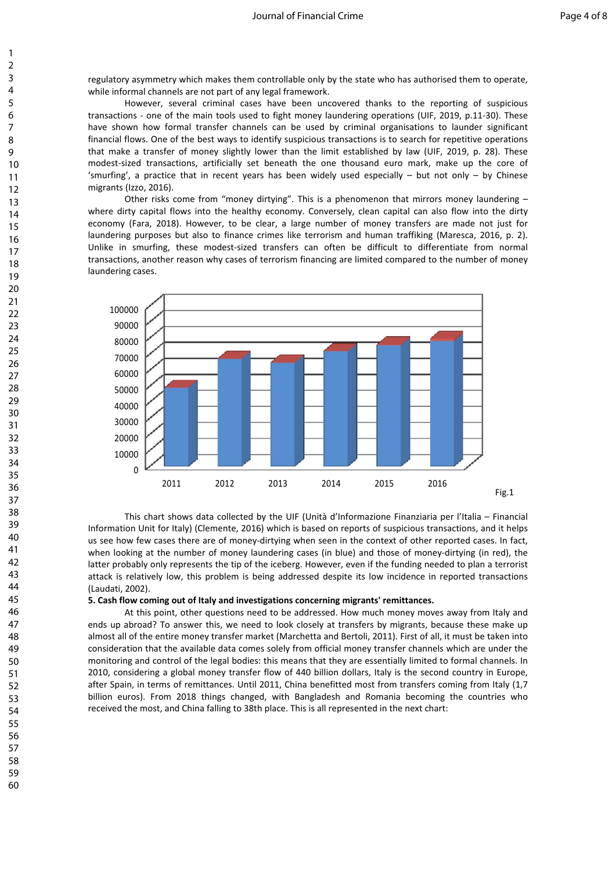regulatory asymmetry which makes them controllable only by the state who has authorised them to operate, while informal channels are not part of any legal framework.

However, several criminal cases have been uncovered thanks to the reporting of suspicious transactions - one of the main tools used to fight money laundering operations (UIF, 2019, p.11-30). These have shown how formal transfer channels can be used by criminal organisations to launder significant financial flows. One of the best ways to identify suspicious transactions is to search for repetitive operations that make a transfer of money slightly lower than the limit established by law (UIF, 2019, p. 28). These modest-sized transactions, artificially set beneath the one thousand euro mark, make up the core of 'smurfing', a practice that in recent years has been widely used especially – but not only – by Chinese migrants (Izzo, 2016).

Other risks come from "money dirtying". This is a phenomenon that mirrors money laundering – where dirty capital flows into the healthy economy. Conversely, clean capital can also flow into the dirty economy (Fara, 2018). However, to be clear, a large number of money transfers are made not just for laundering purposes but also to finance crimes like terrorism and human traffiking (Maresca, 2016, p. 2). Unlike in smurfing, these modest-sized transfers can often be difficult to differentiate from normal transactions, another reason why cases of terrorism financing are limited compared to the number of money laundering cases.



This chart shows data collected by the UIF (Unità d'Informazione Finanziaria per l'Italia – Financial Information Unit for Italy) (Clemente, 2016) which is based on reports of suspicious transactions, and it helps us see how few cases there are of money-dirtying when seen in the context of other reported cases. In fact, when looking at the number of money laundering cases (in blue) and those of money-dirtying (in red), the latter probably only represents the tip of the iceberg. However, even if the funding needed to plan a terrorist attack is relatively low, this problem is being addressed despite its low incidence in reported transactions (Laudati, 2002).

#### **5. Cash flow coming out of Italy and investigations concerning migrants' remittances.**

At this point, other questions need to be addressed. How much money moves away from Italy and ends up abroad? To answer this, we need to look closely at transfers by migrants, because these make up almost all of the entire money transfer market (Marchetta and Bertoli, 2011). First of all, it must be taken into consideration that the available data comes solely from official money transfer channels which are under the monitoring and control of the legal bodies: this means that they are essentially limited to formal channels. In 2010, considering a global money transfer flow of 440 billion dollars, Italy is the second country in Europe, after Spain, in terms of remittances. Until 2011, China benefitted most from transfers coming from Italy (1,7 billion euros). From 2018 things changed, with Bangladesh and Romania becoming the countries who received the most, and China falling to 38th place. This is all represented in the next chart: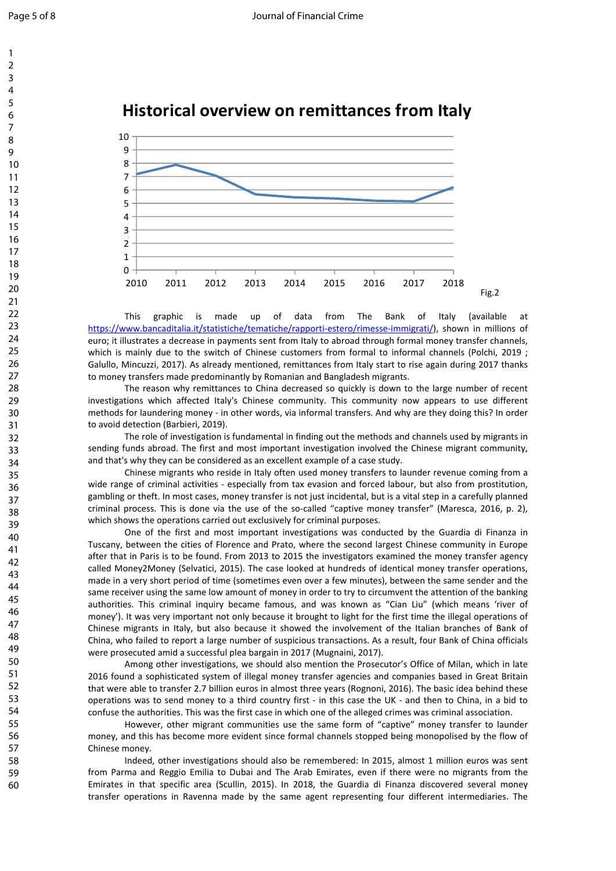





This graphic is made up of data from The Bank of Italy (available at [https://www.bancaditalia.it/statistiche/tematiche/rapporti-estero/rimesse-immigrati/\)](https://www.bancaditalia.it/statistiche/tematiche/rapporti-estero/rimesse-immigrati/), shown in millions of euro; it illustrates a decrease in payments sent from Italy to abroad through formal money transfer channels, which is mainly due to the switch of Chinese customers from formal to informal channels (Polchi, 2019 ; Galullo, Mincuzzi, 2017). As already mentioned, remittances from Italy start to rise again during 2017 thanks to money transfers made predominantly by Romanian and Bangladesh migrants.

The reason why remittances to China decreased so quickly is down to the large number of recent investigations which affected Italy's Chinese community. This community now appears to use different methods for laundering money - in other words, via informal transfers. And why are they doing this? In order to avoid detection (Barbieri, 2019).

The role of investigation is fundamental in finding out the methods and channels used by migrants in sending funds abroad. The first and most important investigation involved the Chinese migrant community, and that's why they can be considered as an excellent example of a case study.

Chinese migrants who reside in Italy often used money transfers to launder revenue coming from a wide range of criminal activities - especially from tax evasion and forced labour, but also from prostitution, gambling or theft. In most cases, money transfer is not just incidental, but is a vital step in a carefully planned criminal process. This is done via the use of the so-called "captive money transfer" (Maresca, 2016, p. 2), which shows the operations carried out exclusively for criminal purposes.

The particular of the mean and the mean and the mean in the seal of the finance of the mean in the seal of the mean in the seal of the mean in the seal of the mean in the seal of the seal of the seal of the seal of the sea One of the first and most important investigations was conducted by the Guardia di Finanza in Tuscany, between the cities of Florence and Prato, where the second largest Chinese community in Europe after that in Paris is to be found. From 2013 to 2015 the investigators examined the money transfer agency called Money2Money (Selvatici, 2015). The case looked at hundreds of identical money transfer operations, made in a very short period of time (sometimes even over a few minutes), between the same sender and the same receiver using the same low amount of money in order to try to circumvent the attention of the banking authorities. This criminal inquiry became famous, and was known as "Cian Liu" (which means 'river of money'). It was very important not only because it brought to light for the first time the illegal operations of Chinese migrants in Italy, but also because it showed the involvement of the Italian branches of Bank of China, who failed to report a large number of suspicious transactions. As a result, four Bank of China officials were prosecuted amid a successful plea bargain in 2017 (Mugnaini, 2017).

Among other investigations, we should also mention the Prosecutor's Office of Milan, which in late 2016 found a sophisticated system of illegal money transfer agencies and companies based in Great Britain that were able to transfer 2.7 billion euros in almost three years (Rognoni, 2016). The basic idea behind these operations was to send money to a third country first - in this case the UK - and then to China, in a bid to confuse the authorities. This was the first case in which one of the alleged crimes was criminal association.

However, other migrant communities use the same form of "captive" money transfer to launder money, and this has become more evident since formal channels stopped being monopolised by the flow of Chinese money.

Indeed, other investigations should also be remembered: In 2015, almost 1 million euros was sent from Parma and Reggio Emilia to Dubai and The Arab Emirates, even if there were no migrants from the Emirates in that specific area (Scullin, 2015). In 2018, the Guardia di Finanza discovered several money transfer operations in Ravenna made by the same agent representing four different intermediaries. The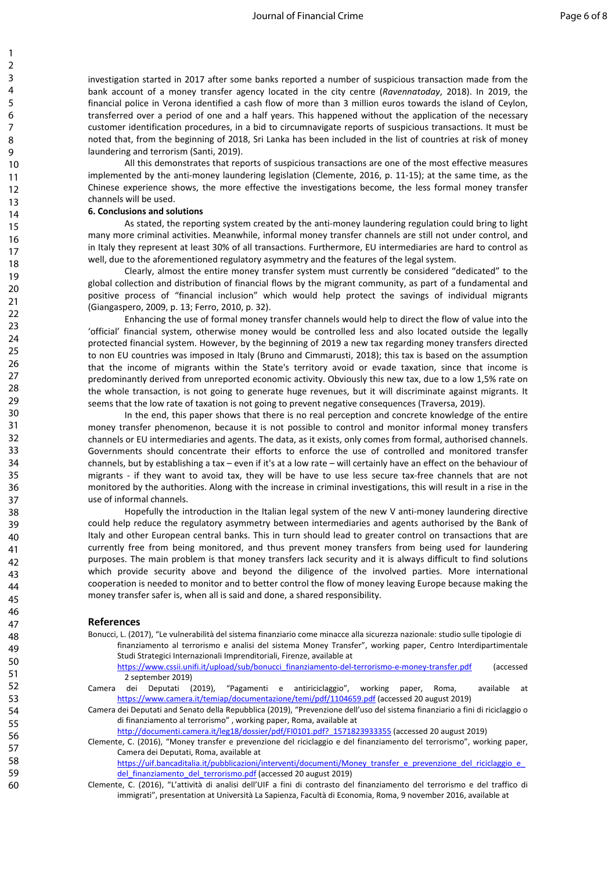investigation started in 2017 after some banks reported a number of suspicious transaction made from the bank account of a money transfer agency located in the city centre (*Ravennatoday*, 2018). In 2019, the financial police in Verona identified a cash flow of more than 3 million euros towards the island of Ceylon, transferred over a period of one and a half years. This happened without the application of the necessary customer identification procedures, in a bid to circumnavigate reports of suspicious transactions. It must be noted that, from the beginning of 2018, Sri Lanka has been included in the list of countries at risk of money laundering and terrorism (Santi, 2019).

All this demonstrates that reports of suspicious transactions are one of the most effective measures implemented by the anti-money laundering legislation (Clemente, 2016, p. 11-15); at the same time, as the Chinese experience shows, the more effective the investigations become, the less formal money transfer channels will be used.

# **6. Conclusions and solutions**

As stated, the reporting system created by the anti-money laundering regulation could bring to light many more criminal activities. Meanwhile, informal money transfer channels are still not under control, and in Italy they represent at least 30% of all transactions. Furthermore, EU intermediaries are hard to control as well, due to the aforementioned regulatory asymmetry and the features of the legal system.

Clearly, almost the entire money transfer system must currently be considered "dedicated" to the global collection and distribution of financial flows by the migrant community, as part of a fundamental and positive process of "financial inclusion" which would help protect the savings of individual migrants (Giangaspero, 2009, p. 13; Ferro, 2010, p. 32).

Enhancing the use of formal money transfer channels would help to direct the flow of value into the 'official' financial system, otherwise money would be controlled less and also located outside the legally protected financial system. However, by the beginning of 2019 a new tax regarding money transfers directed to non EU countries was imposed in Italy (Bruno and Cimmarusti, 2018); this tax is based on the assumption that the income of migrants within the State's territory avoid or evade taxation, since that income is predominantly derived from unreported economic activity. Obviously this new tax, due to a low 1,5% rate on the whole transaction, is not going to generate huge revenues, but it will discriminate against migrants. It seems that the low rate of taxation is not going to prevent negative consequences (Traversa, 2019).

In the end, this paper shows that there is no real perception and concrete knowledge of the entire money transfer phenomenon, because it is not possible to control and monitor informal money transfers channels or EU intermediaries and agents. The data, as it exists, only comes from formal, authorised channels. Governments should concentrate their efforts to enforce the use of controlled and monitored transfer channels, but by establishing a tax – even if it's at a low rate – will certainly have an effect on the behaviour of migrants - if they want to avoid tax, they will be have to use less secure tax-free channels that are not monitored by the authorities. Along with the increase in criminal investigations, this will result in a rise in the use of informal channels.

In the these costs.<br>The tracking method is taken that the interarbit at the same than the state of the reporting in the propring system created by the anti-money laundering regulation courding<br>national activities. Meanwhil Hopefully the introduction in the Italian legal system of the new V anti-money laundering directive could help reduce the regulatory asymmetry between intermediaries and agents authorised by the Bank of Italy and other European central banks. This in turn should lead to greater control on transactions that are currently free from being monitored, and thus prevent money transfers from being used for laundering purposes. The main problem is that money transfers lack security and it is always difficult to find solutions which provide security above and beyond the diligence of the involved parties. More international cooperation is needed to monitor and to better control the flow of money leaving Europe because making the money transfer safer is, when all is said and done, a shared responsibility.

#### **References**

Bonucci, L. (2017), "Le vulnerabilità del sistema finanziario come minacce alla sicurezza nazionale: studio sulle tipologie di finanziamento al terrorismo e analisi del sistema Money Transfer", working paper, Centro Interdipartimentale Studi Strategici Internazionali Imprenditoriali, Firenze, available at

[https://www.cssii.unifi.it/upload/sub/bonucci\\_finanziamento-del-terrorismo-e-money-transfer.pdf](https://www.cssii.unifi.it/upload/sub/bonucci_finanziamento-del-terrorismo-e-money-transfer.pdf) (accessed 2 september 2019)

Camera dei Deputati (2019), "Pagamenti e antiriciclaggio", working paper, Roma, available at <https://www.camera.it/temiap/documentazione/temi/pdf/1104659.pdf> (accessed 20 august 2019)

Camera dei Deputati and Senato della Repubblica (2019), "Prevenzione dell'uso del sistema finanziario a fini di riciclaggio o di finanziamento al terrorismo" , working paper, Roma, available at

[http://documenti.camera.it/leg18/dossier/pdf/FI0101.pdf?\\_1571823933355](http://documenti.camera.it/leg18/dossier/pdf/FI0101.pdf?_1571823933355) (accessed 20 august 2019)

Clemente, C. (2016), "Money transfer e prevenzione del riciclaggio e del finanziamento del terrorismo", working paper, Camera dei Deputati, Roma, available at

https://uif.bancaditalia.it/pubblicazioni/interventi/documenti/Money\_transfer\_e\_prevenzione\_del\_riciclaggio\_e del finanziamento del terrorismo.pdf (accessed 20 august 2019)

Clemente, C. (2016), "L'attività di analisi dell'UIF a fini di contrasto del finanziamento del terrorismo e del traffico di immigrati", presentation at Università La Sapienza, Facultà di Economia, Roma, 9 november 2016, available at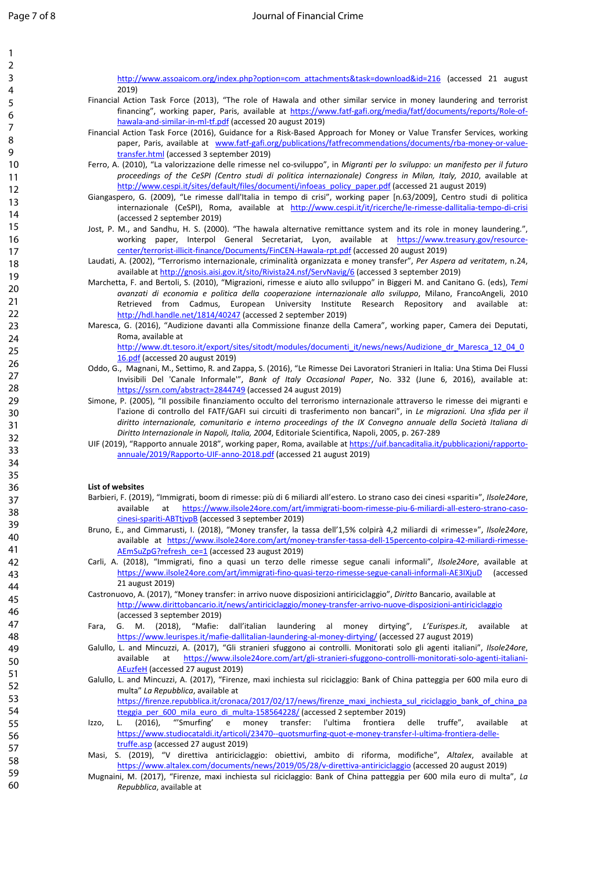| $\mathbf{1}$   |                                                                                                                                                                                                                                                  |
|----------------|--------------------------------------------------------------------------------------------------------------------------------------------------------------------------------------------------------------------------------------------------|
| $\overline{2}$ |                                                                                                                                                                                                                                                  |
| 3              | http://www.assoaicom.org/index.php?option=com attachments&task=download&id=216 (accessed 21 august                                                                                                                                               |
| 4              | 2019)                                                                                                                                                                                                                                            |
| 5              | Financial Action Task Force (2013), "The role of Hawala and other similar service in money laundering and terrorist<br>financing", working paper, Paris, available at https://www.fatf-gafi.org/media/fatf/documents/reports/Role-of-            |
| 6              | hawala-and-similar-in-ml-tf.pdf (accessed 20 august 2019)                                                                                                                                                                                        |
| $\overline{7}$ | Financial Action Task Force (2016), Guidance for a Risk-Based Approach for Money or Value Transfer Services, working                                                                                                                             |
| 8              | paper, Paris, available at www.fatf-gafi.org/publications/fatfrecommendations/documents/rba-money-or-value-                                                                                                                                      |
| 9              | transfer.html (accessed 3 september 2019)                                                                                                                                                                                                        |
| 10             | Ferro, A. (2010), "La valorizzazione delle rimesse nel co-sviluppo", in Migranti per lo sviluppo: un manifesto per il futuro<br>proceedings of the CeSPI (Centro studi di politica internazionale) Congress in Milan, Italy, 2010, available at  |
| 11             | http://www.cespi.it/sites/default/files/documenti/infoeas_policy_paper.pdf (accessed 21 august 2019)                                                                                                                                             |
| 12             | Giangaspero, G. (2009), "Le rimesse dall'Italia in tempo di crisi", working paper [n.63/2009], Centro studi di politica                                                                                                                          |
| 13             | internazionale (CeSPI), Roma, available at http://www.cespi.it/it/ricerche/le-rimesse-dallitalia-tempo-di-crisi                                                                                                                                  |
| 14             | (accessed 2 september 2019)                                                                                                                                                                                                                      |
| 15             | Jost, P. M., and Sandhu, H. S. (2000). "The hawala alternative remittance system and its role in money laundering.",                                                                                                                             |
| 16             | working paper, Interpol General Secretariat, Lyon, available at https://www.treasury.gov/resource-                                                                                                                                               |
| 17             | center/terrorist-illicit-finance/Documents/FinCEN-Hawala-rpt.pdf (accessed 20 august 2019)<br>Laudati, A. (2002), "Terrorismo internazionale, criminalità organizzata e money transfer", Per Aspera ad veritatem, n.24,                          |
| 18             | available at http://gnosis.aisi.gov.it/sito/Rivista24.nsf/ServNavig/6 (accessed 3 september 2019)                                                                                                                                                |
| 19             | Marchetta, F. and Bertoli, S. (2010), "Migrazioni, rimesse e aiuto allo sviluppo" in Biggeri M. and Canitano G. (eds), Temi                                                                                                                      |
| 20             | avanzati di economia e politica della cooperazione internazionale allo sviluppo, Milano, FrancoAngeli, 2010                                                                                                                                      |
| 21             | Retrieved from Cadmus, European University Institute Research Repository and available at:                                                                                                                                                       |
| 22             | http://hdl.handle.net/1814/40247 (accessed 2 september 2019)                                                                                                                                                                                     |
| 23             | Maresca, G. (2016), "Audizione davanti alla Commissione finanze della Camera", working paper, Camera dei Deputati,                                                                                                                               |
| 24             | Roma, available at<br>http://www.dt.tesoro.it/export/sites/sitodt/modules/documenti it/news/news/Audizione dr Maresca 12 04 0                                                                                                                    |
| 25             | 16.pdf (accessed 20 august 2019)                                                                                                                                                                                                                 |
| 26             | Oddo, G., Magnani, M., Settimo, R. and Zappa, S. (2016), "Le Rimesse Dei Lavoratori Stranieri in Italia: Una Stima Dei Flussi                                                                                                                    |
| 27             | Invisibili Del 'Canale Informale"", Bank of Italy Occasional Paper, No. 332 (June 6, 2016), available at:                                                                                                                                        |
| 28             | https://ssrn.com/abstract=2844749 (accessed 24 august 2019)                                                                                                                                                                                      |
| 29             | Simone, P. (2005), "Il possibile finanziamento occulto del terrorismo internazionale attraverso le rimesse dei migranti e                                                                                                                        |
| 30             | l'azione di controllo del FATF/GAFI sui circuiti di trasferimento non bancari", in Le migrazioni. Una sfida per il<br>diritto internazionale, comunitario e interno proceedings of the IX Convegno annuale della Società Italiana di             |
| 31             | Diritto Internazionale in Napoli, Italia, 2004, Editoriale Scientifica, Napoli, 2005, p. 267-289                                                                                                                                                 |
| 32             | UIF (2019), "Rapporto annuale 2018", working paper, Roma, available at https://uif.bancaditalia.it/pubblicazioni/rapporto-                                                                                                                       |
| 33             | annuale/2019/Rapporto-UIF-anno-2018.pdf (accessed 21 august 2019)                                                                                                                                                                                |
| 34             |                                                                                                                                                                                                                                                  |
| 35             |                                                                                                                                                                                                                                                  |
| 36             | List of websites                                                                                                                                                                                                                                 |
| 37             | Barbieri, F. (2019), "Immigrati, boom di rimesse: più di 6 miliardi all'estero. Lo strano caso dei cinesi «spariti»", Ilsole24ore,<br>available at https://www.ilsole24ore.com/art/immigrati-boom-rimesse-piu-6-miliardi-all-estero-strano-caso- |
| 38             | cinesi-spariti-ABTtjvpB (accessed 3 september 2019)                                                                                                                                                                                              |
| 39             | Bruno, E., and Cimmarusti, I. (2018), "Money transfer, la tassa dell'1,5% colpirà 4,2 miliardi di «rimesse»", Ilsole24ore,                                                                                                                       |
| 40             | available at https://www.ilsole24ore.com/art/money-transfer-tassa-dell-15percento-colpira-42-miliardi-rimesse-                                                                                                                                   |
| 41             | AEmSuZpG?refresh ce=1 (accessed 23 august 2019)                                                                                                                                                                                                  |
| 42             | Carli, A. (2018), "Immigrati, fino a quasi un terzo delle rimesse segue canali informali", Ilsole24ore, available at                                                                                                                             |
| 43             | https://www.ilsole24ore.com/art/immigrati-fino-quasi-terzo-rimesse-segue-canali-informali-AE3IXjuD<br>(accessed<br>21 august 2019)                                                                                                               |
| 44             | Castronuovo, A. (2017), "Money transfer: in arrivo nuove disposizioni antiriciclaggio", Diritto Bancario, available at                                                                                                                           |
| 45             | http://www.dirittobancario.it/news/antiriciclaggio/money-transfer-arrivo-nuove-disposizioni-antiriciclaggio                                                                                                                                      |
| 46             | (accessed 3 september 2019)                                                                                                                                                                                                                      |
| 47             | G. M. (2018),<br>"Mafie:<br>dall'italian<br>laundering<br>al money<br>Fara,<br>dirtying",<br>L'Eurispes.it,<br>available<br>at                                                                                                                   |
| 48             | https://www.leurispes.it/mafie-dallitalian-laundering-al-money-dirtying/ (accessed 27 august 2019)                                                                                                                                               |
| 49             | Galullo, L. and Mincuzzi, A. (2017), "Gli stranieri sfuggono ai controlli. Monitorati solo gli agenti italiani", Ilsole24ore,                                                                                                                    |
| 50             | https://www.ilsole24ore.com/art/gli-stranieri-sfuggono-controlli-monitorati-solo-agenti-italiani-<br>at<br>available<br>AEuzfeH (accessed 27 august 2019)                                                                                        |
| 51             | Galullo, L. and Mincuzzi, A. (2017), "Firenze, maxi inchiesta sul riciclaggio: Bank of China patteggia per 600 mila euro di                                                                                                                      |
| 52             | multa" La Repubblica, available at                                                                                                                                                                                                               |
| 53             | https://firenze.repubblica.it/cronaca/2017/02/17/news/firenze_maxi_inchiesta_sul_riciclaggio_bank_of_china_pa                                                                                                                                    |
| 54             | tteggia_per_600_mila_euro_di_multa-158564228/ (accessed 2 september 2019)                                                                                                                                                                        |
| 55             | "'Smurfing'<br>transfer:<br>delle<br>$(2016)$ ,<br>e<br>money<br>l'ultima<br>frontiera<br>truffe",<br>available<br>L.<br>at<br>Izzo,                                                                                                             |
| 56             | https://www.studiocataldi.it/articoli/23470--quotsmurfing-quot-e-money-transfer-l-ultima-frontiera-delle-                                                                                                                                        |
| 57             | truffe.asp (accessed 27 august 2019)<br>S. (2019), "V direttiva antiriciclaggio: obiettivi, ambito di riforma, modifiche", Altalex, available at                                                                                                 |
| 58             | Masi,<br>https://www.altalex.com/documents/news/2019/05/28/v-direttiva-antiriciclaggio (accessed 20 august 2019)                                                                                                                                 |
| 59             | Mugnaini, M. (2017), "Firenze, maxi inchiesta sul riciclaggio: Bank of China patteggia per 600 mila euro di multa", La                                                                                                                           |
| 60             | Repubblica, available at                                                                                                                                                                                                                         |
|                |                                                                                                                                                                                                                                                  |